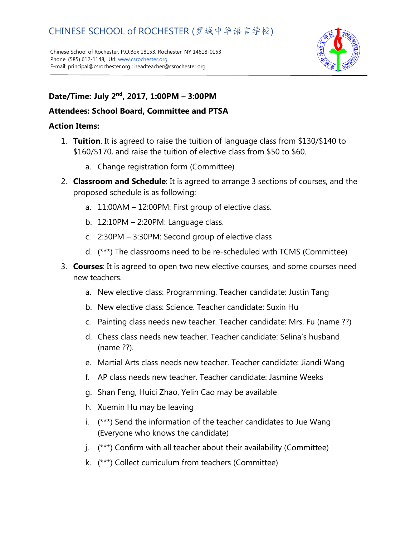Chinese School of Rochester, P.O.Box 18153, Rochester, NY 14618-0153 Phone: (585) 612-1148, Url[: www.csrochester.org](http://www.csrochester.org/) E-mail: principal@csrochester.org ; headteacher@csrochester.org



## **Date/Time: July 2nd, 2017, 1:00PM – 3:00PM**

## **Attendees: School Board, Committee and PTSA**

## **Action Items:**

- 1. **Tuition**. It is agreed to raise the tuition of language class from \$130/\$140 to \$160/\$170, and raise the tuition of elective class from \$50 to \$60.
	- a. Change registration form (Committee)
- 2. **Classroom and Schedule**: It is agreed to arrange 3 sections of courses, and the proposed schedule is as following:
	- a. 11:00AM 12:00PM: First group of elective class.
	- b. 12:10PM 2:20PM: Language class.
	- c. 2:30PM 3:30PM: Second group of elective class
	- d. (\*\*\*) The classrooms need to be re-scheduled with TCMS (Committee)
- 3. **Courses**: It is agreed to open two new elective courses, and some courses need new teachers.
	- a. New elective class: Programming. Teacher candidate: Justin Tang
	- b. New elective class: Science. Teacher candidate: Suxin Hu
	- c. Painting class needs new teacher. Teacher candidate: Mrs. Fu (name ??)
	- d. Chess class needs new teacher. Teacher candidate: Selina's husband (name ??).
	- e. Martial Arts class needs new teacher. Teacher candidate: Jiandi Wang
	- f. AP class needs new teacher. Teacher candidate: Jasmine Weeks
	- g. Shan Feng, Huici Zhao, Yelin Cao may be available
	- h. Xuemin Hu may be leaving
	- i. (\*\*\*) Send the information of the teacher candidates to Jue Wang (Everyone who knows the candidate)
	- j. (\*\*\*) Confirm with all teacher about their availability (Committee)
	- k. (\*\*\*) Collect curriculum from teachers (Committee)